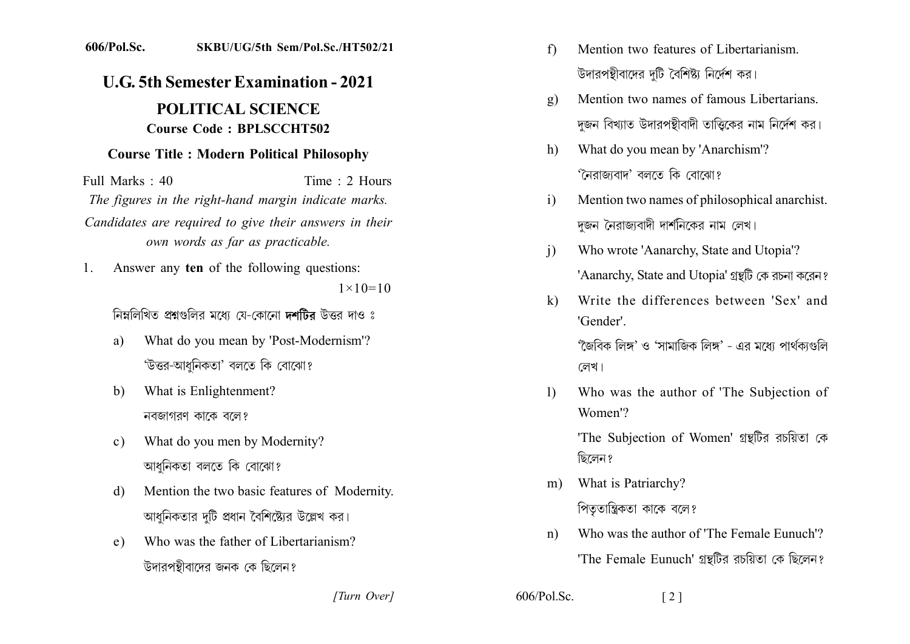## 606/Pol.Sc. SKBU/UG/5th Sem/Pol.Sc./HT502/21

## **U.G. 5th Semester Examination - 2021**

## **POLITICAL SCIENCE Course Code: BPLSCCHT502**

## **Course Title: Modern Political Philosophy**

Full Marks  $\cdot$  40 Time  $\cdot$  2 Hours The figures in the right-hand margin indicate marks. Candidates are required to give their answers in their own words as far as practicable.

Answer any ten of the following questions:  $1_{-}$  $1 \times 10 = 10$ 

নিম্নলিখিত প্রশ্নগুলির মধ্যে যে-কোনো দশটির উত্তর দাও ঃ

- What do you mean by 'Post-Modernism'? a) 'উত্তর-আধনিকতা' বলতে কি বোঝো?
- What is Enlightenment?  $b)$ নবজাগরণ কাকে বলে?
- What do you men by Modernity?  $\mathbf{c}$ ) আধনিকতা বলতে কি বোঝো?
- Mention the two basic features of Modernity. d) আধনিকতার দটি প্রধান বৈশিষ্ট্যের উল্লেখ কর।
- Who was the father of Libertarianism?  $e)$ উদারপন্থীবাদের জনক কে ছিলেন?
- Mention two features of Libertarianism.  $f$ উদারপন্থীবাদের দটি বৈশিষ্ট্য নির্দেশ কর।
- Mention two names of famous Libertarians.  $\mathbf{g}$ ) দজন বিখ্যাত উদারপন্থীবাদী তাত্তিকের নাম নির্দেশ কর।
- What do you mean by 'Anarchism'?  $h)$ 'নৈরাজ্যবাদ' বলতে কি বোঝো?
- Mention two names of philosophical anarchist.  $\mathbf{i}$ দজন নৈরাজ্যবাদী দার্শনিকের নাম লেখ।
- Who wrote 'Aanarchy, State and Utopia'?  $\mathbf{i}$ 'Aanarchy, State and Utopia' গ্রন্থটি কে রচনা করেন?
- Write the differences between 'Sex' and  $\bf k$ 'Gender'

'জৈবিক লিঙ্গ' ও 'সামাজিক লিঙ্গ' - এর মধ্যে পার্থকাগুলি লেখ।

Who was the author of 'The Subjection of  $\mathbf{D}$ Women'?

'The Subjection of Women' গ্রন্থটির রচয়িতা কে ছিলেন?

- What is Patriarchy?  $m$ ) পিতৃতান্ত্রিকতা কাকে বলে?
- Who was the author of 'The Female Eunuch'?  $n)$ 'The Female Eunuch' গ্রন্থটির রচয়িতা কে ছিলেন?

 $\lceil 2 \rceil$ 

[Turn Over]

 $606/P<sub>o</sub>l$ . Sc.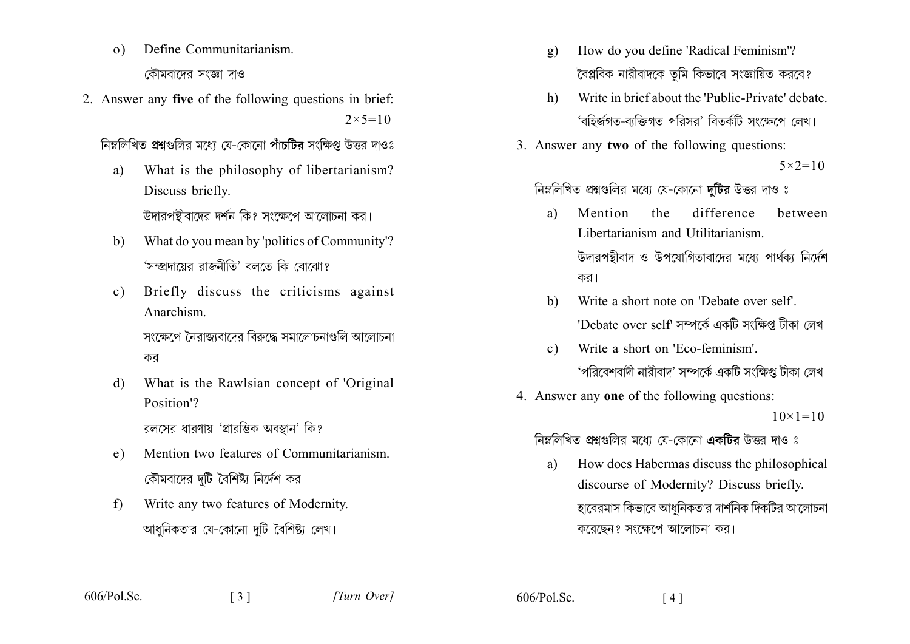- Define Communitarianism.  $\Omega$ কৌমবাদের সংজ্ঞা দাও।
- 2. Answer any five of the following questions in brief:  $2 \times 5 = 10$

নিম্নলিখিত প্রশ্নগুলির মধ্যে যে-কোনো পাঁচটির সংক্ষিপ্ত উত্তর দাওঃ

- What is the philosophy of libertarianism? a) Discuss briefly. উদারপন্থীবাদের দর্শন কি? সংক্ষেপে আলোচনা কর।
- What do you mean by 'politics of Community'? b) 'সম্প্রদায়ের রাজনীতি' বলতে কি বোঝো?
- Briefly discuss the criticisms against  $c)$ Anarchism

সংক্ষেপে নৈবাজবোদের বিৰুদ্ধে সমালোচনাংখলি আলোচনা কর।

What is the Rawlsian concept of 'Original  $\mathbf{d}$ Position<sup>'</sup>?

রলসের ধারণায় 'প্রারম্ভিক অবস্থান' কি?

- Mention two features of Communitarianism  $e)$ কৌমবাদের দটি বৈশিষ্ট্য নির্দেশ কর।
- Write any two features of Modernity.  $f$ আধনিকতার যে-কোনো দটি বৈশিষ্ট্য লেখ।

 $\lceil 3 \rceil$ 

- How do you define 'Radical Feminism'?  $\mathbf{g}$ ) বৈপ্লবিক নারীবাদকে তুমি কিভাবে সংজ্ঞায়িত করবে?
- Write in brief about the 'Public-Private' debate.  $h$ ) 'বহির্জগত-বাক্তিগত পরিসর' বিতর্কটি সংক্ষেপে লেখ।
- 3. Answer any two of the following questions:

 $5 \times 2 = 10$ 

নিম্নলিখিত প্রশ্নগুলির মধ্যে যে-কোনো দুটির উত্তর দাও ঃ

- Mention difference hetween  $a)$ the Libertarianism and Utilitarianism উদারপন্থীবাদ ও উপযোগিতাবাদের মধ্যে পার্থক্য নির্দেশ কর।
- Write a short note on 'Debate over self'.  $h)$ 'Debate over self' সম্পৰ্কে একটি সংক্ষিপ্ত টীকা লেখ।
- Write a short on 'Eco-feminism'  $c)$ 'পরিবেশবাদী নারীবাদ' সম্পর্কে একটি সংক্ষিপ্ত টীকা লেখ।
- 4. Answer any one of the following questions:

 $10 \times 1 = 10$ 

নিম্নলিখিত প্রশ্নগুলির মধ্যে যে-কোনো একটির উত্তর দাও ঃ

How does Habermas discuss the philosophical a) discourse of Modernity? Discuss briefly. হাবেরমাস কিভাবে আধনিকতার দার্শনিক দিকটির আলোচনা করেছেন? সংক্ষেপে আলোচনা কর।

 $606/P<sub>o</sub>$  Sc